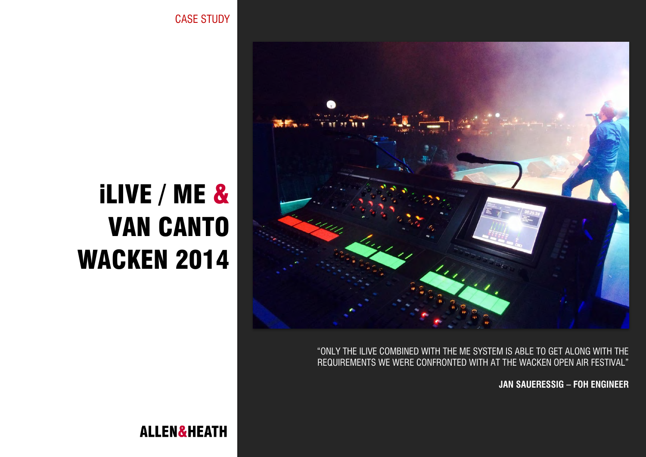

"ONLY THE ILIVE COMBINED WITH THE ME SYSTEM IS ABLE TO GET ALONG WITH THE REQUIREMENTS WE WERE CONFRONTED WITH AT THE WACKEN OPEN AIR FESTIVAL"

**JAN SAUERESSIG – FOH ENGINEER**

# iLIVE / ME & VAN CANTO WACKEN 2014

CASE STUDY

**ALLEN&HEATH**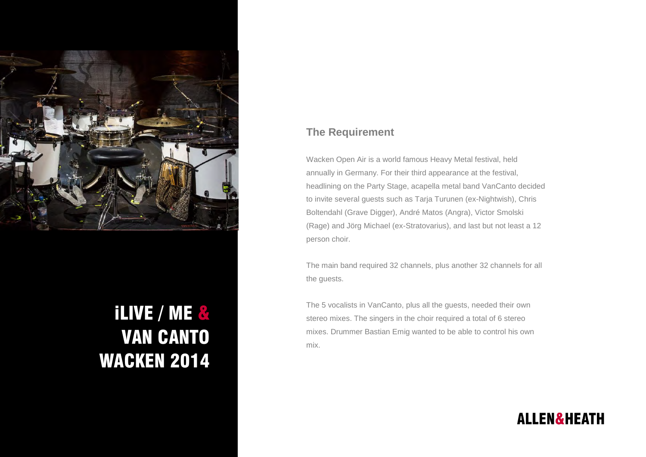

## iLIVE / ME & VAN CANTO WACKEN 2014

#### **The Requirement**

Wacken Open Air is a world famous Heavy Metal festival, held annually in Germany. For their third appearance at the festival, headlining on the Party Stage, acapella metal band VanCanto decided to invite several guests such as Tarja Turunen (ex-Nightwish), Chris Boltendahl (Grave Digger), André Matos (Angra), Victor Smolski (Rage) and Jörg Michael (ex-Stratovarius), and last but not least a 12 person choir.

The main band required 32 channels, plus another 32 channels for all the guests.

The 5 vocalists in VanCanto, plus all the guests, needed their own stereo mixes. The singers in the choir required a total of 6 stereo mixes. Drummer Bastian Emig wanted to be able to control his own mix.

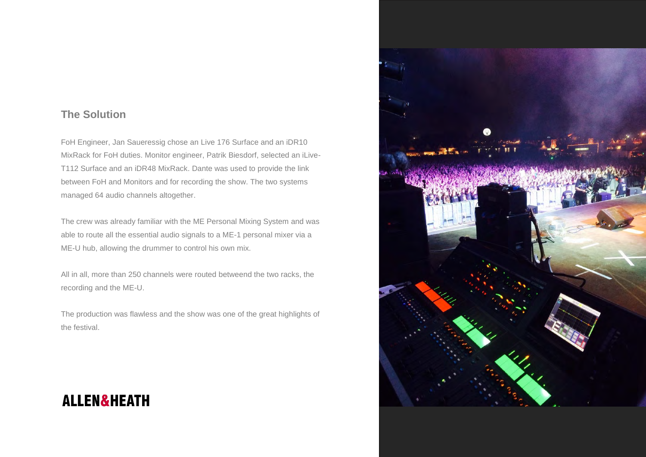#### **The Solution**

FoH Engineer, Jan Saueressig chose an Live 176 Surface and an iDR10 MixRack for FoH duties. Monitor engineer, Patrik Biesdorf, selected an iLive-T112 Surface and an iDR48 MixRack. Dante was used to provide the link between FoH and Monitors and for recording the show. The two systems managed 64 audio channels altogether.

The crew was already familiar with the ME Personal Mixing System and was able to route all the essential audio signals to a ME-1 personal mixer via a ME-U hub, allowing the drummer to control his own mix.

All in all, more than 250 channels were routed betweend the two racks, the recording and the ME-U.

The production was flawless and the show was one of the great highlights of the festival.

### **ALLEN&HEATH**